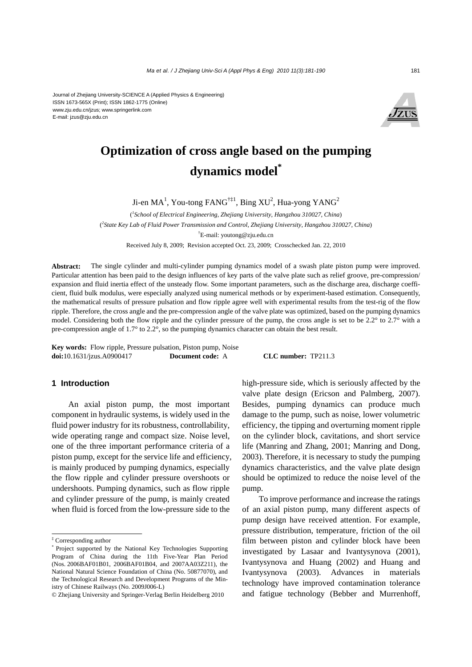

# **Optimization of cross angle based on the pumping dynamics model\***

Ji-en MA<sup>1</sup>, You-tong FANG<sup>†‡1</sup>, Bing XU<sup>2</sup>, Hua-yong YANG<sup>2</sup>

( *1 School of Electrical Engineering, Zhejiang University, Hangzhou 310027, China*) ( *2 State Key Lab of Fluid Power Transmission and Control, Zhejiang University, Hangzhou 310027, China*) † E-mail: youtong@zju.edu.cn Received July 8, 2009; Revision accepted Oct. 23, 2009; Crosschecked Jan. 22, 2010

**Abstract:** The single cylinder and multi-cylinder pumping dynamics model of a swash plate piston pump were improved. Particular attention has been paid to the design influences of key parts of the valve plate such as relief groove, pre-compression/ expansion and fluid inertia effect of the unsteady flow. Some important parameters, such as the discharge area, discharge coefficient, fluid bulk modulus, were especially analyzed using numerical methods or by experiment-based estimation. Consequently, the mathematical results of pressure pulsation and flow ripple agree well with experimental results from the test-rig of the flow ripple. Therefore, the cross angle and the pre-compression angle of the valve plate was optimized, based on the pumping dynamics model. Considering both the flow ripple and the cylinder pressure of the pump, the cross angle is set to be 2.2° to 2.7° with a pre-compression angle of 1.7° to 2.2°, so the pumping dynamics character can obtain the best result.

**Key words:** Flow ripple, Pressure pulsation, Piston pump, Noise **doi:**10.1631/jzus.A0900417 **Document code:** A **CLC number:** TP211.3

# **1 Introduction**

An axial piston pump, the most important component in hydraulic systems, is widely used in the fluid power industry for its robustness, controllability, wide operating range and compact size. Noise level, one of the three important performance criteria of a piston pump, except for the service life and efficiency, is mainly produced by pumping dynamics, especially the flow ripple and cylinder pressure overshoots or undershoots. Pumping dynamics, such as flow ripple and cylinder pressure of the pump, is mainly created when fluid is forced from the low-pressure side to the

high-pressure side, which is seriously affected by the valve plate design (Ericson and Palmberg, 2007). Besides, pumping dynamics can produce much damage to the pump, such as noise, lower volumetric efficiency, the tipping and overturning moment ripple on the cylinder block, cavitations, and short service life (Manring and Zhang, 2001; Manring and Dong, 2003). Therefore, it is necessary to study the pumping dynamics characteristics, and the valve plate design should be optimized to reduce the noise level of the pump.

To improve performance and increase the ratings of an axial piston pump, many different aspects of pump design have received attention. For example, pressure distribution, temperature, friction of the oil film between piston and cylinder block have been investigated by Lasaar and Ivantysynova (2001), Ivantysynova and Huang (2002) and Huang and Ivantysynova (2003). Advances in materials technology have improved contamination tolerance and fatigue technology (Bebber and Murrenhoff,

<sup>‡</sup> Corresponding author

Project supported by the National Key Technologies Supporting Program of China during the 11th Five-Year Plan Period (Nos. 2006BAF01B01, 2006BAF01B04, and 2007AA03Z211), the National Natural Science Foundation of China (No. 50877070), and the Technological Research and Development Programs of the Ministry of Chinese Railways (No. 2009J006-L)

<sup>©</sup> Zhejiang University and Springer-Verlag Berlin Heidelberg 2010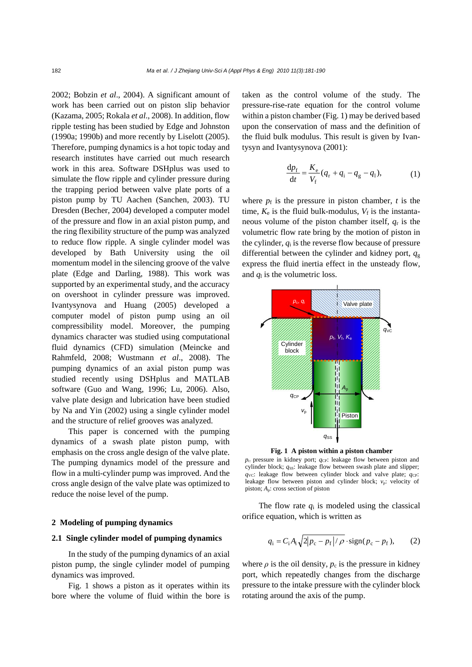2002; Bobzin *et al*., 2004). A significant amount of work has been carried out on piston slip behavior (Kazama, 2005; Rokala *et al*., 2008). In addition, flow ripple testing has been studied by Edge and Johnston (1990a; 1990b) and more recently by Liselott (2005). Therefore, pumping dynamics is a hot topic today and research institutes have carried out much research work in this area. Software DSHplus was used to simulate the flow ripple and cylinder pressure during the trapping period between valve plate ports of a piston pump by TU Aachen (Sanchen, 2003). TU Dresden (Becher, 2004) developed a computer model of the pressure and flow in an axial piston pump, and the ring flexibility structure of the pump was analyzed to reduce flow ripple. A single cylinder model was developed by Bath University using the oil momentum model in the silencing groove of the valve plate (Edge and Darling, 1988). This work was supported by an experimental study, and the accuracy on overshoot in cylinder pressure was improved. Ivantysynova and Huang (2005) developed a computer model of piston pump using an oil compressibility model. Moreover, the pumping dynamics character was studied using computational fluid dynamics (CFD) simulation (Meincke and Rahmfeld, 2008; Wustmann *et al*., 2008). The pumping dynamics of an axial piston pump was studied recently using DSHplus and MATLAB software (Guo and Wang, 1996; Lu, 2006). Also, valve plate design and lubrication have been studied by Na and Yin (2002) using a single cylinder model and the structure of relief grooves was analyzed.

This paper is concerned with the pumping dynamics of a swash plate piston pump, with emphasis on the cross angle design of the valve plate. The pumping dynamics model of the pressure and flow in a multi-cylinder pump was improved. And the cross angle design of the valve plate was optimized to reduce the noise level of the pump.

#### **2 Modeling of pumping dynamics**

## **2.1 Single cylinder model of pumping dynamics**

In the study of the pumping dynamics of an axial piston pump, the single cylinder model of pumping dynamics was improved.

Fig. 1 shows a piston as it operates within its bore where the volume of fluid within the bore is

taken as the control volume of the study. The pressure-rise-rate equation for the control volume within a piston chamber (Fig. 1) may be derived based upon the conservation of mass and the definition of the fluid bulk modulus. This result is given by Ivantysyn and Ivantysynova (2001):

$$
\frac{dp_{f}}{dt} = \frac{K_{e}}{V_{f}}(q_{r} + q_{i} - q_{g} - q_{l}),
$$
 (1)

where  $p_f$  is the pressure in piston chamber,  $t$  is the time,  $K_e$  is the fluid bulk-modulus,  $V_f$  is the instantaneous volume of the piston chamber itself, *q*r is the volumetric flow rate bring by the motion of piston in the cylinder,  $q_i$  is the reverse flow because of pressure differential between the cylinder and kidney port,  $q_g$ express the fluid inertia effect in the unsteady flow, and  $q_1$  is the volumetric loss.



**Fig. 1 A piston within a piston chamber** 

*p*<sub>c</sub>: pressure in kidney port; *q*<sub>CP</sub>: leakage flow between piston and cylinder block;  $q_{\text{ss}}$ : leakage flow between swash plate and slipper;  $q_{\text{VC}}$ : leakage flow between cylinder block and valve plate;  $q_{\text{CP}}$ : leakage flow between piston and cylinder block;  $v_p$ : velocity of piston; *A*p: cross section of piston

The flow rate  $q_i$  is modeled using the classical orifice equation, which is written as

$$
q_{\rm i} = C_{\rm i} A_{\rm i} \sqrt{2|p_{\rm c} - p_{\rm f}|/\rho} \cdot \text{sign}(p_{\rm c} - p_{\rm f}),\qquad(2)
$$

where  $\rho$  is the oil density,  $p_c$  is the pressure in kidney port, which repeatedly changes from the discharge pressure to the intake pressure with the cylinder block rotating around the axis of the pump.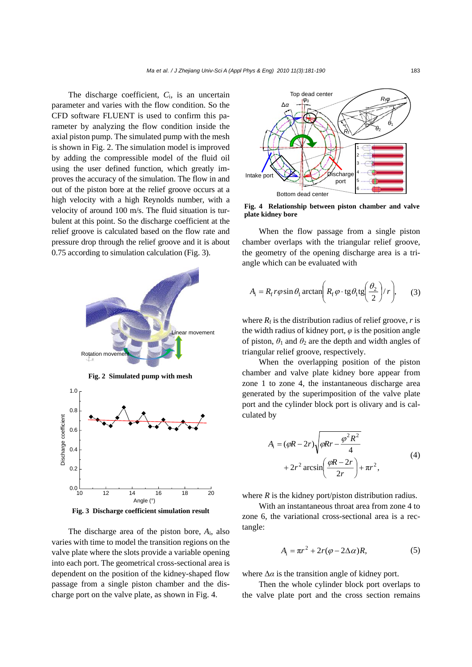The discharge coefficient, *C*i, is an uncertain parameter and varies with the flow condition. So the CFD software FLUENT is used to confirm this parameter by analyzing the flow condition inside the axial piston pump. The simulated pump with the mesh is shown in Fig. 2. The simulation model is improved by adding the compressible model of the fluid oil using the user defined function, which greatly improves the accuracy of the simulation. The flow in and out of the piston bore at the relief groove occurs at a high velocity with a high Reynolds number, with a velocity of around 100 m/s. The fluid situation is turbulent at this point. So the discharge coefficient at the relief groove is calculated based on the flow rate and pressure drop through the relief groove and it is about 0.75 according to simulation calculation (Fig. 3).



**Fig. 3 Discharge coefficient simulation result**

The discharge area of the piston bore, *A*i, also varies with time to model the transition regions on the valve plate where the slots provide a variable opening into each port. The geometrical cross-sectional area is dependent on the position of the kidney-shaped flow passage from a single piston chamber and the discharge port on the valve plate, as shown in Fig. 4.



**Fig. 4 Relationship between piston chamber and valve plate kidney bore**

When the flow passage from a single piston chamber overlaps with the triangular relief groove, the geometry of the opening discharge area is a triangle which can be evaluated with

$$
A_{\rm i} = R_{\rm f} r \varphi \sin \theta_1 \arctan\left(R_{\rm f} \varphi \cdot \text{tg} \theta_1 \text{tg} \left(\frac{\theta_2}{2}\right) / r\right),\tag{3}
$$

where  $R_f$  is the distribution radius of relief groove, *r* is the width radius of kidney port, *φ* is the position angle of piston,  $\theta_1$  and  $\theta_2$  are the depth and width angles of triangular relief groove, respectively.

When the overlapping position of the piston chamber and valve plate kidney bore appear from zone 1 to zone 4, the instantaneous discharge area generated by the superimposition of the valve plate port and the cylinder block port is olivary and is calculated by

$$
A_{i} = (\varphi R - 2r) \sqrt{\varphi Rr - \frac{\varphi^{2} R^{2}}{4}}
$$
  
+ 2r<sup>2</sup> arcsin $\left(\frac{\varphi R - 2r}{2r}\right)$  +  $\pi r^{2}$ , (4)

where  $R$  is the kidney port/piston distribution radius.

With an instantaneous throat area from zone 4 to zone 6, the variational cross-sectional area is a rectangle:

$$
A_{i} = \pi r^{2} + 2r(\varphi - 2\Delta\alpha)R, \qquad (5)
$$

where  $\Delta \alpha$  is the transition angle of kidney port.

Then the whole cylinder block port overlaps to the valve plate port and the cross section remains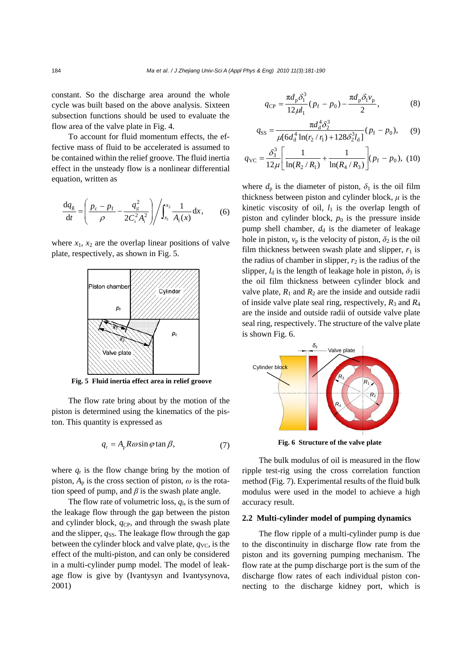constant. So the discharge area around the whole cycle was built based on the above analysis. Sixteen subsection functions should be used to evaluate the flow area of the valve plate in Fig. 4.

To account for fluid momentum effects, the effective mass of fluid to be accelerated is assumed to be contained within the relief groove. The fluid inertia effect in the unsteady flow is a nonlinear differential equation, written as

$$
\frac{dq_g}{dt} = \left(\frac{p_c - p_f}{\rho} - \frac{q_g^2}{2C_i^2 A_i^2}\right) / \int_{x_1}^{x_2} \frac{1}{A_i(x)} dx, \quad (6)
$$

where  $x_1$ ,  $x_2$  are the overlap linear positions of valve plate, respectively, as shown in Fig. 5.



**Fig. 5 Fluid inertia effect area in relief groove**

The flow rate bring about by the motion of the piston is determined using the kinematics of the piston. This quantity is expressed as

$$
q_{\rm r} = A_{\rm p} R \omega \sin \varphi \tan \beta, \tag{7}
$$

where  $q_r$  is the flow change bring by the motion of piston,  $A_p$  is the cross section of piston,  $\omega$  is the rotation speed of pump, and  $\beta$  is the swash plate angle.

The flow rate of volumetric loss, *q*l, is the sum of the leakage flow through the gap between the piston and cylinder block, *q*CP, and through the swash plate and the slipper,  $q_{SS}$ . The leakage flow through the gap between the cylinder block and valve plate,  $q_{\text{VC}}$ , is the effect of the multi-piston, and can only be considered in a multi-cylinder pump model. The model of leakage flow is give by (Ivantysyn and Ivantysynova, 2001)

$$
q_{\rm CP} = \frac{\pi d_{\rm p} \delta_1^3}{12 \mu l_1} (p_{\rm f} - p_0) - \frac{\pi d_{\rm p} \delta_1 v_{\rm p}}{2},\tag{8}
$$

$$
q_{SS} = \frac{\pi d_d^4 \delta_2^3}{\mu [6d_d^4 \ln(r_2/r_1) + 128\delta_2^3 l_d]} (p_f - p_0), \quad (9)
$$

$$
q_{\rm VC} = \frac{\delta_3^3}{12\mu} \left[ \frac{1}{\ln(R_2/R_1)} + \frac{1}{\ln(R_4/R_3)} \right] (p_{\rm f} - p_0), \ (10)
$$

where  $d_p$  is the diameter of piston,  $\delta_1$  is the oil film thickness between piston and cylinder block,  $\mu$  is the kinetic viscosity of oil,  $l_1$  is the overlap length of piston and cylinder block,  $p_0$  is the pressure inside pump shell chamber,  $d_d$  is the diameter of leakage hole in piston,  $v_p$  is the velocity of piston,  $\delta_2$  is the oil film thickness between swash plate and slipper,  $r_1$  is the radius of chamber in slipper,  $r_2$  is the radius of the slipper,  $l_d$  is the length of leakage hole in piston,  $\delta_3$  is the oil film thickness between cylinder block and valve plate,  $R_1$  and  $R_2$  are the inside and outside radii of inside valve plate seal ring, respectively,  $R_3$  and  $R_4$ are the inside and outside radii of outside valve plate seal ring, respectively. The structure of the valve plate is shown Fig. 6.



**Fig. 6 Structure of the valve plate** 

The bulk modulus of oil is measured in the flow ripple test-rig using the cross correlation function method (Fig. 7). Experimental results of the fluid bulk modulus were used in the model to achieve a high accuracy result.

# **2.2 Multi-cylinder model of pumping dynamics**

The flow ripple of a multi-cylinder pump is due to the discontinuity in discharge flow rate from the piston and its governing pumping mechanism. The flow rate at the pump discharge port is the sum of the discharge flow rates of each individual piston connecting to the discharge kidney port, which is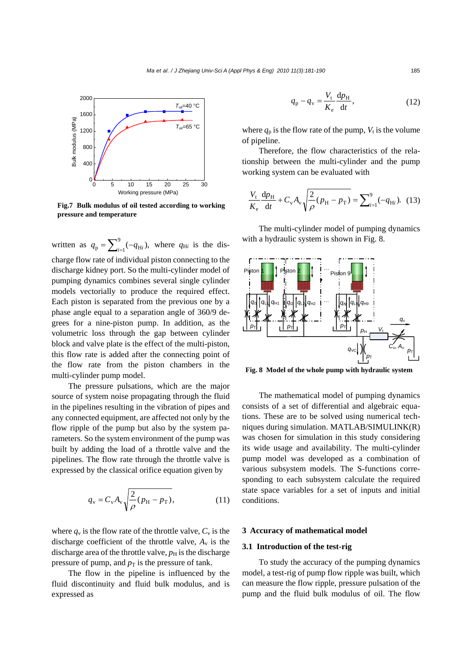

**Fig.7 Bulk modulus of oil tested according to working pressure and temperature**

written as  $q_p = \sum_{i=1}^{9} (-q_{Hi})$ , where  $q_{Hi}$  is the discharge flow rate of individual piston connecting to the discharge kidney port. So the multi-cylinder model of pumping dynamics combines several single cylinder models vectorially to produce the required effect. Each piston is separated from the previous one by a phase angle equal to a separation angle of 360/9 degrees for a nine-piston pump. In addition, as the volumetric loss through the gap between cylinder block and valve plate is the effect of the multi-piston, this flow rate is added after the connecting point of the flow rate from the piston chambers in the multi-cylinder pump model.

The pressure pulsations, which are the major source of system noise propagating through the fluid in the pipelines resulting in the vibration of pipes and any connected equipment, are affected not only by the flow ripple of the pump but also by the system parameters. So the system environment of the pump was built by adding the load of a throttle valve and the pipelines. The flow rate through the throttle valve is expressed by the classical orifice equation given by

$$
q_{\rm v} = C_{\rm v} A_{\rm v} \sqrt{\frac{2}{\rho} (p_{\rm H} - p_{\rm T})},\tag{11}
$$

where  $q_v$  is the flow rate of the throttle valve,  $C_v$  is the discharge coefficient of the throttle valve,  $A<sub>v</sub>$  is the discharge area of the throttle valve,  $p<sub>H</sub>$  is the discharge pressure of pump, and  $p<sub>T</sub>$  is the pressure of tank.

The flow in the pipeline is influenced by the fluid discontinuity and fluid bulk modulus, and is expressed as

$$
q_{\rm p} - q_{\rm v} = \frac{V_{\rm t}}{K_{\rm e}} \frac{dp_{\rm H}}{dt},\tag{12}
$$

where  $q_p$  is the flow rate of the pump,  $V_t$  is the volume of pipeline.

Therefore, the flow characteristics of the relationship between the multi-cylinder and the pump working system can be evaluated with

$$
\frac{V_{\rm t}}{K_{\rm e}}\frac{\mathrm{d}p_{\rm H}}{\mathrm{d}t} + C_{\rm v}A_{\rm v}\sqrt{\frac{2}{\rho}(p_{\rm H} - p_{\rm T})} = \sum_{i=1}^{9} (-q_{\rm Hi}). \tag{13}
$$

The multi-cylinder model of pumping dynamics with a hydraulic system is shown in Fig. 8.



**Fig. 8 Model of the whole pump with hydraulic system**

The mathematical model of pumping dynamics consists of a set of differential and algebraic equations. These are to be solved using numerical techniques during simulation. MATLAB/SIMULINK(R) was chosen for simulation in this study considering its wide usage and availability. The multi-cylinder pump model was developed as a combination of various subsystem models. The S-functions corresponding to each subsystem calculate the required state space variables for a set of inputs and initial conditions.

#### **3 Accuracy of mathematical model**

#### **3.1 Introduction of the test-rig**

To study the accuracy of the pumping dynamics model, a test-rig of pump flow ripple was built, which can measure the flow ripple, pressure pulsation of the pump and the fluid bulk modulus of oil. The flow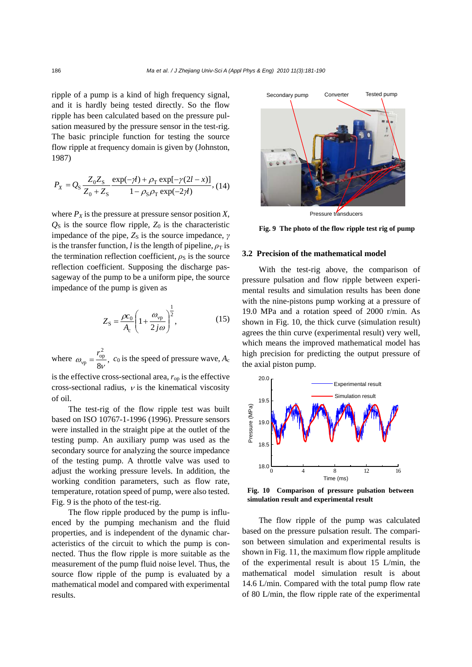ripple of a pump is a kind of high frequency signal, and it is hardly being tested directly. So the flow ripple has been calculated based on the pressure pulsation measured by the pressure sensor in the test-rig. The basic principle function for testing the source flow ripple at frequency domain is given by (Johnston, 1987)

$$
P_X = Q_S \frac{Z_0 Z_S}{Z_0 + Z_S} \frac{\exp(-\gamma t) + \rho_T \exp[-\gamma (2t - x)]}{1 - \rho_S \rho_T \exp(-2\gamma t)},
$$
(14)

where  $P_X$  is the pressure at pressure sensor position  $X$ ,  $Q<sub>S</sub>$  is the source flow ripple,  $Z<sub>0</sub>$  is the characteristic impedance of the pipe,  $Z_s$  is the source impedance,  $\gamma$ is the transfer function, *l* is the length of pipeline,  $\rho_T$  is the termination reflection coefficient,  $\rho_S$  is the source reflection coefficient. Supposing the discharge passageway of the pump to be a uniform pipe, the source impedance of the pump is given as

$$
Z_{\rm S} = \frac{\rho c_0}{A_{\rm c}} \left( 1 + \frac{\omega_{\rm vp}}{2j\omega} \right)^{\frac{1}{2}},\tag{15}
$$

where  $\omega_{vp} = \frac{v_{op}}{8v}$ , 2 op  $\omega_{vp} = \frac{r_{op}^2}{8v}$ , c<sub>0</sub> is the speed of pressure wave, *A<sub>c</sub>* 

is the effective cross-sectional area,  $r_{\rm on}$  is the effective cross-sectional radius,  $\nu$  is the kinematical viscosity of oil.

The test-rig of the flow ripple test was built based on ISO 10767-1-1996 (1996). Pressure sensors were installed in the straight pipe at the outlet of the testing pump. An auxiliary pump was used as the secondary source for analyzing the source impedance of the testing pump. A throttle valve was used to adjust the working pressure levels. In addition, the working condition parameters, such as flow rate, temperature, rotation speed of pump, were also tested. Fig. 9 is the photo of the test-rig.

The flow ripple produced by the pump is influenced by the pumping mechanism and the fluid properties, and is independent of the dynamic characteristics of the circuit to which the pump is connected. Thus the flow ripple is more suitable as the measurement of the pump fluid noise level. Thus, the source flow ripple of the pump is evaluated by a mathematical model and compared with experimental results.



Pressure transducers

**Fig. 9 The photo of the flow ripple test rig of pump**

#### **3.2 Precision of the mathematical model**

With the test-rig above, the comparison of pressure pulsation and flow ripple between experimental results and simulation results has been done with the nine-pistons pump working at a pressure of 19.0 MPa and a rotation speed of 2000 r/min. As shown in Fig. 10, the thick curve (simulation result) agrees the thin curve (experimental result) very well, which means the improved mathematical model has high precision for predicting the output pressure of the axial piston pump.



**Fig. 10 Comparison of pressure pulsation between simulation result and experimental result** 

The flow ripple of the pump was calculated based on the pressure pulsation result. The comparison between simulation and experimental results is shown in Fig. 11, the maximum flow ripple amplitude of the experimental result is about 15 L/min, the mathematical model simulation result is about 14.6 L/min. Compared with the total pump flow rate of 80 L/min, the flow ripple rate of the experimental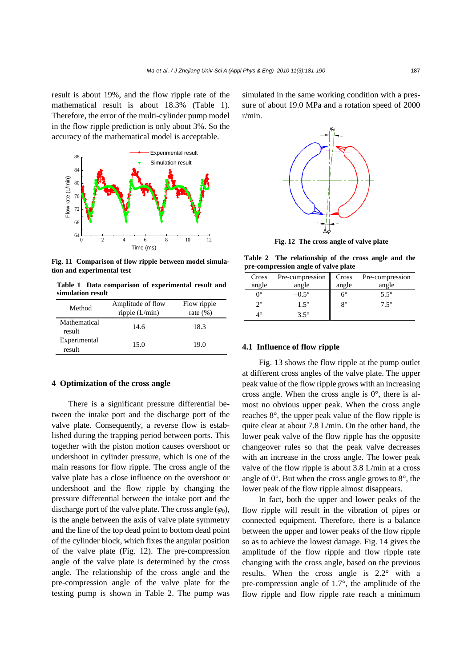result is about 19%, and the flow ripple rate of the mathematical result is about 18.3% (Table 1). Therefore, the error of the multi-cylinder pump model in the flow ripple prediction is only about 3%. So the accuracy of the mathematical model is acceptable.



**Fig. 11 Comparison of flow ripple between model simulation and experimental test** 

**Table 1 Data comparison of experimental result and simulation result** 

| Method                 | Amplitude of flow<br>ripple $(L/min)$ | Flow ripple<br>rate $(\%)$ |
|------------------------|---------------------------------------|----------------------------|
| Mathematical<br>result | 14.6                                  | 18.3                       |
| Experimental<br>result | 15.0                                  | 19.0                       |

## **4 Optimization of the cross angle**

There is a significant pressure differential between the intake port and the discharge port of the valve plate. Consequently, a reverse flow is established during the trapping period between ports. This together with the piston motion causes overshoot or undershoot in cylinder pressure, which is one of the main reasons for flow ripple. The cross angle of the valve plate has a close influence on the overshoot or undershoot and the flow ripple by changing the pressure differential between the intake port and the discharge port of the valve plate. The cross angle  $(\varphi_0)$ , is the angle between the axis of valve plate symmetry and the line of the top dead point to bottom dead point of the cylinder block, which fixes the angular position of the valve plate (Fig. 12). The pre-compression angle of the valve plate is determined by the cross angle. The relationship of the cross angle and the pre-compression angle of the valve plate for the testing pump is shown in Table 2. The pump was

simulated in the same working condition with a pressure of about 19.0 MPa and a rotation speed of 2000 r/min.



**Fig. 12 The cross angle of valve plate** 

**Table 2 The relationship of the cross angle and the pre-compression angle of valve plate** 

| Cross            | Pre-compression | Cross       | Pre-compression |
|------------------|-----------------|-------------|-----------------|
| angle            | angle           | angle       | angle           |
| $\Omega^{\circ}$ | $-0.5^\circ$    | $6^{\circ}$ | $5.5^\circ$     |
| $2^{\circ}$      | $1.5^\circ$     | $8^{\circ}$ | $7.5^\circ$     |
| 4∘               | $3.5^\circ$     |             |                 |

#### **4.1 Influence of flow ripple**

Fig. 13 shows the flow ripple at the pump outlet at different cross angles of the valve plate. The upper peak value of the flow ripple grows with an increasing cross angle. When the cross angle is  $0^\circ$ , there is almost no obvious upper peak. When the cross angle reaches 8°, the upper peak value of the flow ripple is quite clear at about 7.8 L/min. On the other hand, the lower peak valve of the flow ripple has the opposite changeover rules so that the peak valve decreases with an increase in the cross angle. The lower peak valve of the flow ripple is about 3.8 L/min at a cross angle of  $0^\circ$ . But when the cross angle grows to  $8^\circ$ , the lower peak of the flow ripple almost disappears.

In fact, both the upper and lower peaks of the flow ripple will result in the vibration of pipes or connected equipment. Therefore, there is a balance between the upper and lower peaks of the flow ripple so as to achieve the lowest damage. Fig. 14 gives the amplitude of the flow ripple and flow ripple rate changing with the cross angle, based on the previous results. When the cross angle is 2.2° with a pre-compression angle of 1.7°, the amplitude of the flow ripple and flow ripple rate reach a minimum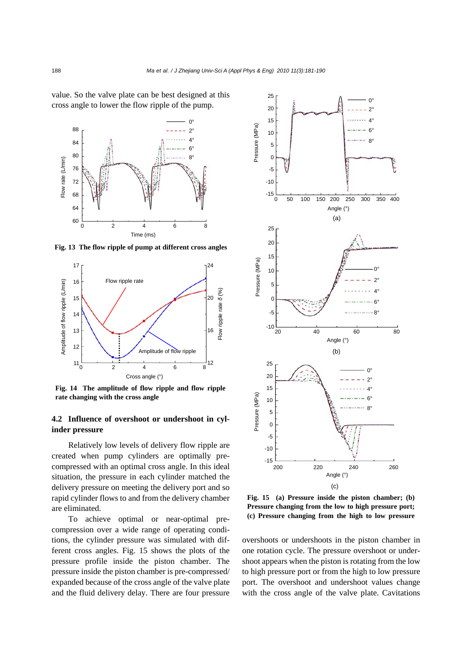value. So the valve plate can be best designed at this cross angle to lower the flow ripple of the pump.



**Fig. 13 The flow ripple of pump at different cross angles**



**Fig. 14 The amplitude of flow ripple and flow ripple rate changing with the cross angle** 

# **4.2 Influence of overshoot or undershoot in cylinder pressure**

Relatively low levels of delivery flow ripple are created when pump cylinders are optimally precompressed with an optimal cross angle. In this ideal situation, the pressure in each cylinder matched the delivery pressure on meeting the delivery port and so rapid cylinder flows to and from the delivery chamber are eliminated.

To achieve optimal or near-optimal precompression over a wide range of operating conditions, the cylinder pressure was simulated with different cross angles. Fig. 15 shows the plots of the pressure profile inside the piston chamber. The pressure inside the piston chamber is pre-compressed/ expanded because of the cross angle of the valve plate and the fluid delivery delay. There are four pressure



**Fig. 15 (a) Pressure inside the piston chamber; (b) Pressure changing from the low to high pressure port; (c) Pressure changing from the high to low pressure** 

overshoots or undershoots in the piston chamber in one rotation cycle. The pressure overshoot or undershoot appears when the piston is rotating from the low to high pressure port or from the high to low pressure port. The overshoot and undershoot values change with the cross angle of the valve plate. Cavitations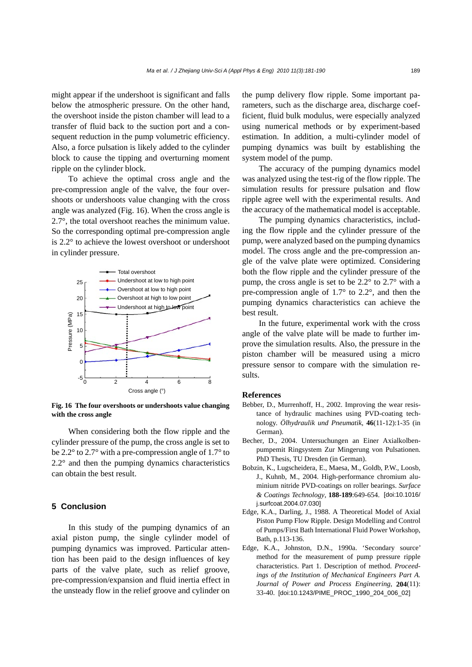might appear if the undershoot is significant and falls below the atmospheric pressure. On the other hand, the overshoot inside the piston chamber will lead to a transfer of fluid back to the suction port and a consequent reduction in the pump volumetric efficiency. Also, a force pulsation is likely added to the cylinder block to cause the tipping and overturning moment ripple on the cylinder block.

To achieve the optimal cross angle and the pre-compression angle of the valve, the four overshoots or undershoots value changing with the cross angle was analyzed (Fig. 16). When the cross angle is 2.7°, the total overshoot reaches the minimum value. So the corresponding optimal pre-compression angle is 2.2° to achieve the lowest overshoot or undershoot in cylinder pressure.



**Fig. 16 The four overshoots or undershoots value changing with the cross angle** 

When considering both the flow ripple and the cylinder pressure of the pump, the cross angle is set to be 2.2° to 2.7° with a pre-compression angle of 1.7° to  $2.2^{\circ}$  and then the pumping dynamics characteristics can obtain the best result.

## **5 Conclusion**

In this study of the pumping dynamics of an axial piston pump, the single cylinder model of pumping dynamics was improved. Particular attention has been paid to the design influences of key parts of the valve plate, such as relief groove, pre-compression/expansion and fluid inertia effect in the unsteady flow in the relief groove and cylinder on the pump delivery flow ripple. Some important parameters, such as the discharge area, discharge coefficient, fluid bulk modulus, were especially analyzed using numerical methods or by experiment-based estimation. In addition, a multi-cylinder model of pumping dynamics was built by establishing the system model of the pump.

The accuracy of the pumping dynamics model was analyzed using the test-rig of the flow ripple. The simulation results for pressure pulsation and flow ripple agree well with the experimental results. And the accuracy of the mathematical model is acceptable.

The pumping dynamics characteristics, including the flow ripple and the cylinder pressure of the pump, were analyzed based on the pumping dynamics model. The cross angle and the pre-compression angle of the valve plate were optimized. Considering both the flow ripple and the cylinder pressure of the pump, the cross angle is set to be 2.2° to 2.7° with a pre-compression angle of 1.7° to 2.2°, and then the pumping dynamics characteristics can achieve the best result.

In the future, experimental work with the cross angle of the valve plate will be made to further improve the simulation results. Also, the pressure in the piston chamber will be measured using a micro pressure sensor to compare with the simulation results.

#### **References**

- Bebber, D., Murrenhoff, H., 2002. Improving the wear resistance of hydraulic machines using PVD-coating technology. *Ölhydraulik und Pneumatik*, **46**(11-12):1-35 (in German).
- Becher, D., 2004. Untersuchungen an Einer Axialkolbenpumpemit Ringsystem Zur Mingerung von Pulsationen. PhD Thesis, TU Dresden (in German).
- Bobzin, K., Lugscheidera, E., Maesa, M., Goldb, P.W., Loosb, J., Kuhnb, M., 2004. High-performance chromium aluminium nitride PVD-coatings on roller bearings. *Surface & Coatings Technology*, **188-189**:649-654. [doi:10.1016/ j.surfcoat.2004.07.030]
- Edge, K.A., Darling, J., 1988. A Theoretical Model of Axial Piston Pump Flow Ripple. Design Modelling and Control of Pumps/First Bath International Fluid Power Workshop, Bath, p.113-136.
- Edge, K.A., Johnston, D.N., 1990a. 'Secondary source' method for the measurement of pump pressure ripple characteristics. Part 1. Description of method. *Proceedings of the Institution of Mechanical Engineers Part A. Journal of Power and Process Engineering*, **204**(11): 33-40. [doi:10.1243/PIME\_PROC\_1990\_204\_006\_02]